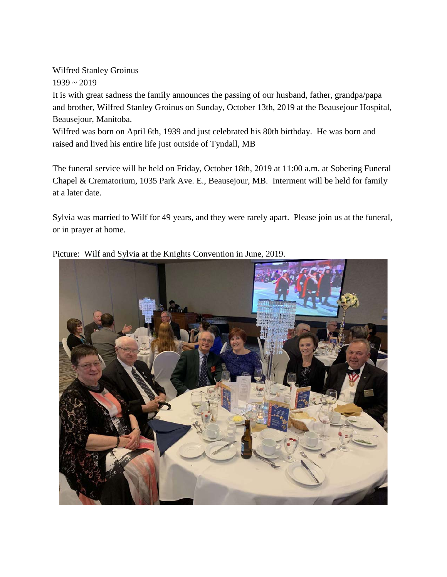Wilfred Stanley Groinus  $1939 - 2019$ It is with great sadness the family announces the passing of our husband, father, grandpa/papa and brother, Wilfred Stanley Groinus on Sunday, October 13th, 2019 at the Beausejour Hospital, Beausejour, Manitoba.

Wilfred was born on April 6th, 1939 and just celebrated his 80th birthday. He was born and raised and lived his entire life just outside of Tyndall, MB

The funeral service will be held on Friday, October 18th, 2019 at 11:00 a.m. at Sobering Funeral Chapel & Crematorium, 1035 Park Ave. E., Beausejour, MB. Interment will be held for family at a later date.

Sylvia was married to Wilf for 49 years, and they were rarely apart. Please join us at the funeral, or in prayer at home.



Picture: Wilf and Sylvia at the Knights Convention in June, 2019.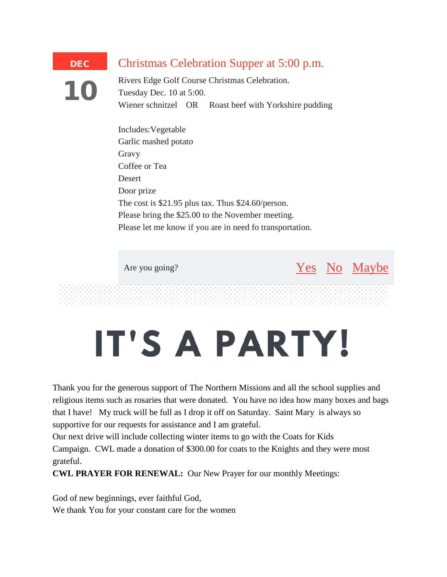## Christmas Celebration Supper at 5:00 p.m.

10

DEC

Rivers Edge Golf Course Christmas Celebration. Tuesday Dec. 10 at 5:00. Wiener schnitzel OR Roast beef with Yorkshire pudding

Includes:Vegetable Garlic mashed potato Gravy Coffee or Tea **Desert** Door prize The cost is \$21.95 plus tax. Thus \$24.60/person. Please bring the \$25.00 to the November meeting. Please let me know if you are in need fo transportation.

Are you going? [No](http://email-mg.flocknote.com/c/eJxVkEtvwjAQhH9NcrT8xPEhhyhRoIgeWkQ552EnroMNjoGEX19zrLTSfNKMRrvb5xwRzGmqcwyRQBAxHIFygACtaFmgCjNIaCZ4llCoJtcZ64IEnbukY44oZkgyxFQrWpSxtoOCQkZVCzFsM5FO-RjCdU5IkeA6Tnk-HMNn41fwryo68iFtiIoywgTnBEb28-Maxbo3y1572YWE1MEZaRNSkQTH2uJ7bdBhlB90jbHjHlbNDhRGg7P9Oe3ZsNtev9Tgtzi6xe_tYIKqT2VRFzG-uc_Sv5vuw7Pp5SAuTzN3ZvR-3Nh1eaFGTa9h2KhbdtOL0GYxelHcE5_6vAFPN8VN5iC1jc_R3eTu_fucP80WakE) [Maybe](http://email-mg.flocknote.com/c/eJxVUEuPgjAY_DV4JH1QSg8cfISo2VVX1zXrDWiBClIprYC_futxk0lmvkwy82V4TCFGNJjJGAHIIIAEORFQH_rBKljO4QoRgIOI0cgLQNGovG6VEX6u7rMqpoTwKEsDRkLGCcEFSQGFSGRZQBnHfNbElTGP3sNzDyUOy8vHyXymevL_RTlHPEVrHMMIE0YpBk7r_vlwdE-nTLxPwaUWufFwYlQtWg-vsIdc8vwCS7iVYH842O8kzAAdOrz0f29XcbNnvtlM-8OCXW2XoyQZbrYHatp2efvT7o9rfTSPeXiGJ-mPX4N4nh_V6hRmfD0Ytdvt7OLlj1fr6vctVge49FBoe6Hf5bYcUi5Kdh_qPq8rrauwncYXTIvmVZZh0UWdHJmsx1qOBdVYz3Sc-oNq3PO9EbJ1k8q8UZa_R_gDPER-kw) No Maybe

## IT'S A PARTY!

Thank you for the generous support of The Northern Missions and all the school supplies and religious items such as rosaries that were donated. You have no idea how many boxes and bags that I have! My truck will be full as I drop it off on Saturday. Saint Mary is always so supportive for our requests for assistance and I am grateful.

Our next drive will include collecting winter items to go with the Coats for Kids Campaign. CWL made a donation of \$300.00 for coats to the Knights and they were most grateful.

**CWL PRAYER FOR RENEWAL:** Our New Prayer for our monthly Meetings:

God of new beginnings, ever faithful God, We thank You for your constant care for the women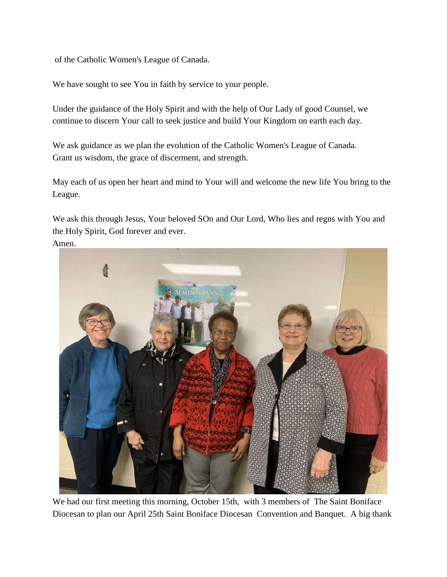of the Catholic Women's League of Canada.

We have sought to see You in faith by service to your people.

Under the guidance of the Holy Spirit and with the help of Our Lady of good Counsel, we continue to discern Your call to seek justice and build Your Kingdom on earth each day.

We ask guidance as we plan the evolution of the Catholic Women's League of Canada. Grant us wisdom, the grace of discerment, and strength.

May each of us open her heart and mind to Your will and welcome the new life You bring to the League.

We ask this through Jesus, Your beloved SOn and Our Lord, Who lies and regns with You and the Holy Spirit, God forever and ever.

## Amen.



We had our first meeting this morning, October 15th, with 3 members of The Saint Boniface Diocesan to plan our April 25th Saint Boniface Diocesan Convention and Banquet. A big thank